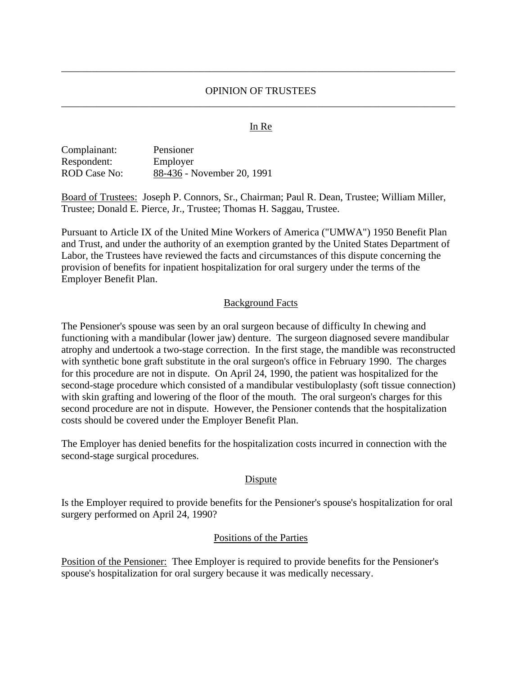## OPINION OF TRUSTEES \_\_\_\_\_\_\_\_\_\_\_\_\_\_\_\_\_\_\_\_\_\_\_\_\_\_\_\_\_\_\_\_\_\_\_\_\_\_\_\_\_\_\_\_\_\_\_\_\_\_\_\_\_\_\_\_\_\_\_\_\_\_\_\_\_\_\_\_\_\_\_\_\_\_\_\_\_

\_\_\_\_\_\_\_\_\_\_\_\_\_\_\_\_\_\_\_\_\_\_\_\_\_\_\_\_\_\_\_\_\_\_\_\_\_\_\_\_\_\_\_\_\_\_\_\_\_\_\_\_\_\_\_\_\_\_\_\_\_\_\_\_\_\_\_\_\_\_\_\_\_\_\_\_\_

## In Re

| Complainant: | Pensioner                  |
|--------------|----------------------------|
| Respondent:  | Employer                   |
| ROD Case No: | 88-436 - November 20, 1991 |

Board of Trustees: Joseph P. Connors, Sr., Chairman; Paul R. Dean, Trustee; William Miller, Trustee; Donald E. Pierce, Jr., Trustee; Thomas H. Saggau, Trustee.

Pursuant to Article IX of the United Mine Workers of America ("UMWA") 1950 Benefit Plan and Trust, and under the authority of an exemption granted by the United States Department of Labor, the Trustees have reviewed the facts and circumstances of this dispute concerning the provision of benefits for inpatient hospitalization for oral surgery under the terms of the Employer Benefit Plan.

### Background Facts

The Pensioner's spouse was seen by an oral surgeon because of difficulty In chewing and functioning with a mandibular (lower jaw) denture. The surgeon diagnosed severe mandibular atrophy and undertook a two-stage correction. In the first stage, the mandible was reconstructed with synthetic bone graft substitute in the oral surgeon's office in February 1990. The charges for this procedure are not in dispute. On April 24, 1990, the patient was hospitalized for the second-stage procedure which consisted of a mandibular vestibuloplasty (soft tissue connection) with skin grafting and lowering of the floor of the mouth. The oral surgeon's charges for this second procedure are not in dispute. However, the Pensioner contends that the hospitalization costs should be covered under the Employer Benefit Plan.

The Employer has denied benefits for the hospitalization costs incurred in connection with the second-stage surgical procedures.

#### **D**ispute

Is the Employer required to provide benefits for the Pensioner's spouse's hospitalization for oral surgery performed on April 24, 1990?

#### Positions of the Parties

Position of the Pensioner: Thee Employer is required to provide benefits for the Pensioner's spouse's hospitalization for oral surgery because it was medically necessary.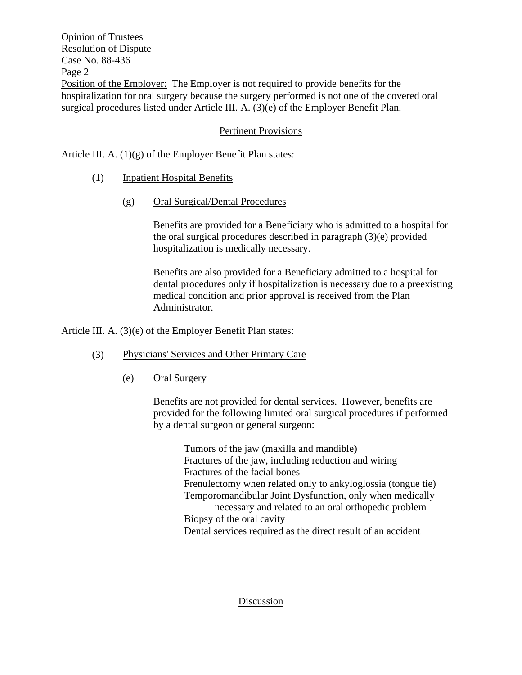Opinion of Trustees Resolution of Dispute Case No. 88-436 Page 2 Position of the Employer: The Employer is not required to provide benefits for the hospitalization for oral surgery because the surgery performed is not one of the covered oral surgical procedures listed under Article III. A. (3)(e) of the Employer Benefit Plan.

# Pertinent Provisions

Article III. A. (1)(g) of the Employer Benefit Plan states:

- (1) Inpatient Hospital Benefits
	- (g) Oral Surgical/Dental Procedures

Benefits are provided for a Beneficiary who is admitted to a hospital for the oral surgical procedures described in paragraph (3)(e) provided hospitalization is medically necessary.

Benefits are also provided for a Beneficiary admitted to a hospital for dental procedures only if hospitalization is necessary due to a preexisting medical condition and prior approval is received from the Plan Administrator.

Article III. A. (3)(e) of the Employer Benefit Plan states:

- (3) Physicians' Services and Other Primary Care
	- (e) Oral Surgery

Benefits are not provided for dental services. However, benefits are provided for the following limited oral surgical procedures if performed by a dental surgeon or general surgeon:

> Tumors of the jaw (maxilla and mandible) Fractures of the jaw, including reduction and wiring Fractures of the facial bones Frenulectomy when related only to ankyloglossia (tongue tie) Temporomandibular Joint Dysfunction, only when medically necessary and related to an oral orthopedic problem Biopsy of the oral cavity Dental services required as the direct result of an accident

### Discussion